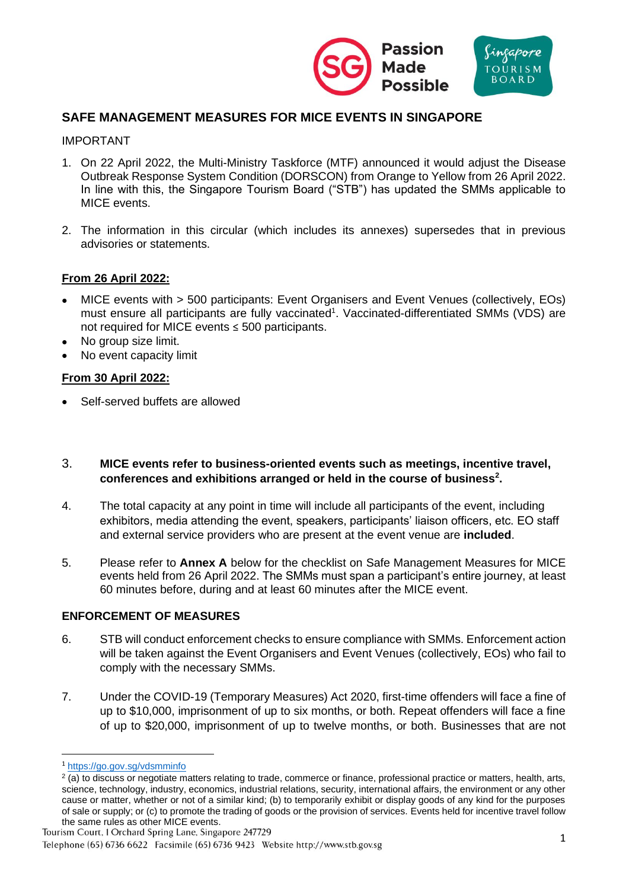



# **SAFE MANAGEMENT MEASURES FOR MICE EVENTS IN SINGAPORE**

### IMPORTANT

- 1. On 22 April 2022, the Multi-Ministry Taskforce (MTF) announced it would adjust the Disease Outbreak Response System Condition (DORSCON) from Orange to Yellow from 26 April 2022. In line with this, the Singapore Tourism Board ("STB") has updated the SMMs applicable to MICE events.
- 2. The information in this circular (which includes its annexes) supersedes that in previous advisories or statements.

## **From 26 April 2022:**

- MICE events with > 500 participants: Event Organisers and Event Venues (collectively, EOs) must ensure all participants are fully vaccinated<sup>1</sup>. Vaccinated-differentiated SMMs (VDS) are not required for MICE events ≤ 500 participants.
- No group size limit.
- No event capacity limit

### **From 30 April 2022:**

• Self-served buffets are allowed

### 3. **MICE events refer to business-oriented events such as meetings, incentive travel, conferences and exhibitions arranged or held in the course of business<sup>2</sup> .**

- 4. The total capacity at any point in time will include all participants of the event, including exhibitors, media attending the event, speakers, participants' liaison officers, etc. EO staff and external service providers who are present at the event venue are **included**.
- 5. Please refer to **Annex A** below for the checklist on Safe Management Measures for MICE events held from 26 April 2022. The SMMs must span a participant's entire journey, at least 60 minutes before, during and at least 60 minutes after the MICE event.

#### **ENFORCEMENT OF MEASURES**

- 6. STB will conduct enforcement checks to ensure compliance with SMMs. Enforcement action will be taken against the Event Organisers and Event Venues (collectively, EOs) who fail to comply with the necessary SMMs.
- 7. Under the COVID-19 (Temporary Measures) Act 2020, first-time offenders will face a fine of up to \$10,000, imprisonment of up to six months, or both. Repeat offenders will face a fine of up to \$20,000, imprisonment of up to twelve months, or both. Businesses that are not

<sup>1</sup> <https://go.gov.sg/vdsmminfo>

<sup>&</sup>lt;sup>2</sup> (a) to discuss or negotiate matters relating to trade, commerce or finance, professional practice or matters, health, arts, science, technology, industry, economics, industrial relations, security, international affairs, the environment or any other cause or matter, whether or not of a similar kind; (b) to temporarily exhibit or display goods of any kind for the purposes of sale or supply; or (c) to promote the trading of goods or the provision of services. Events held for incentive travel follow the same rules as other MICE events.

Tourism Court, 1 Orchard Spring Lane, Singapore 247729

Telephone (65) 6736 6622 Facsimile (65) 6736 9423 Website http://www.stb.gov.sg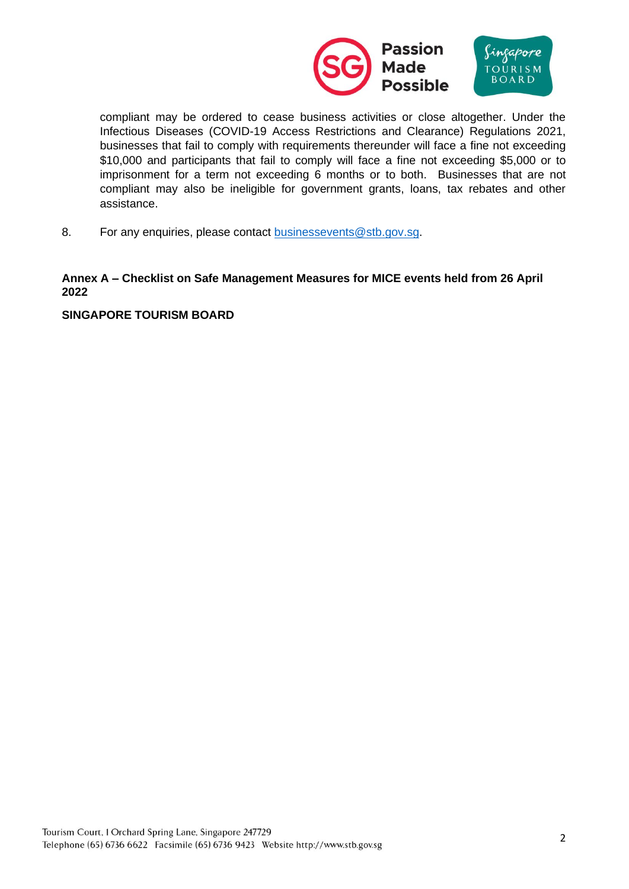

compliant may be ordered to cease business activities or close altogether. Under the Infectious Diseases (COVID-19 Access Restrictions and Clearance) Regulations 2021, businesses that fail to comply with requirements thereunder will face a fine not exceeding \$10,000 and participants that fail to comply will face a fine not exceeding \$5,000 or to imprisonment for a term not exceeding 6 months or to both. Businesses that are not compliant may also be ineligible for government grants, loans, tax rebates and other assistance.

8. For any enquiries, please contact [businessevents@stb.gov.sg.](mailto:businessevents@stb.gov.sg)

## **Annex A – Checklist on Safe Management Measures for MICE events held from 26 April 2022**

### **SINGAPORE TOURISM BOARD**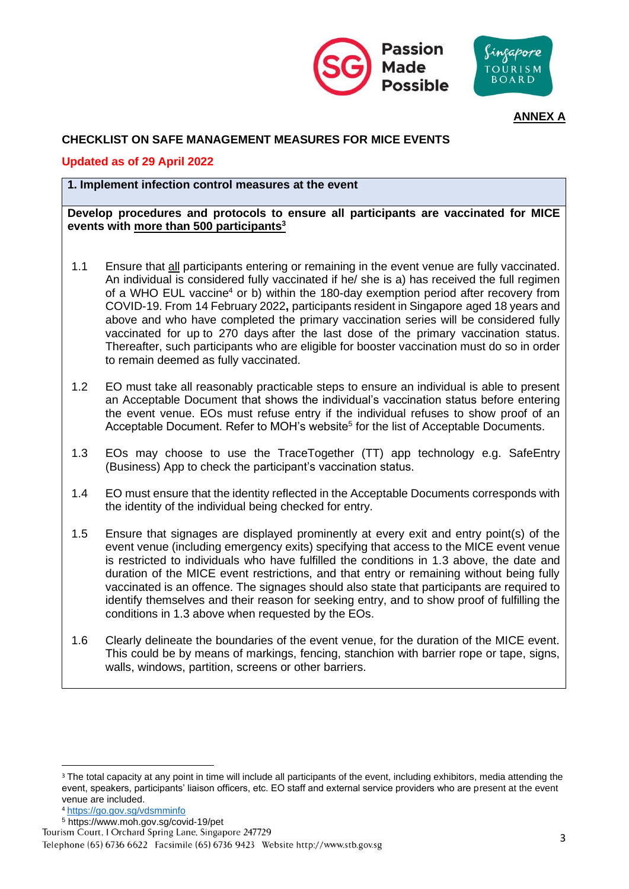



# **ANNEX A**

# **CHECKLIST ON SAFE MANAGEMENT MEASURES FOR MICE EVENTS**

## **Updated as of 29 April 2022**

## **1. Implement infection control measures at the event**

**Develop procedures and protocols to ensure all participants are vaccinated for MICE events with more than 500 participants<sup>3</sup>**

- 1.1 Ensure that all participants entering or remaining in the event venue are fully vaccinated. An individual is considered fully vaccinated if he/ she is a) has received the full regimen of a WHO EUL vaccine<sup>4</sup> or b) within the 180-day exemption period after recovery from COVID-19. From 14 February 2022**,** participants resident in Singapore aged 18 years and above and who have completed the primary vaccination series will be considered fully vaccinated for up to 270 days after the last dose of the primary vaccination status. Thereafter, such participants who are eligible for booster vaccination must do so in order to remain deemed as fully vaccinated.
- 1.2 EO must take all reasonably practicable steps to ensure an individual is able to present an Acceptable Document that shows the individual's vaccination status before entering the event venue. EOs must refuse entry if the individual refuses to show proof of an Acceptable Document. Refer to MOH's website<sup>5</sup> for the list of Acceptable Documents.
- 1.3 EOs may choose to use the TraceTogether (TT) app technology e.g. SafeEntry (Business) App to check the participant's vaccination status.
- 1.4 EO must ensure that the identity reflected in the Acceptable Documents corresponds with the identity of the individual being checked for entry.
- 1.5 Ensure that signages are displayed prominently at every exit and entry point(s) of the event venue (including emergency exits) specifying that access to the MICE event venue is restricted to individuals who have fulfilled the conditions in 1.3 above, the date and duration of the MICE event restrictions, and that entry or remaining without being fully vaccinated is an offence. The signages should also state that participants are required to identify themselves and their reason for seeking entry, and to show proof of fulfilling the conditions in 1.3 above when requested by the EOs.
- 1.6 Clearly delineate the boundaries of the event venue, for the duration of the MICE event. This could be by means of markings, fencing, stanchion with barrier rope or tape, signs, walls, windows, partition, screens or other barriers.

<sup>&</sup>lt;sup>3</sup> The total capacity at any point in time will include all participants of the event, including exhibitors, media attending the event, speakers, participants' liaison officers, etc. EO staff and external service providers who are present at the event venue are included.

<sup>4</sup> <https://go.gov.sg/vdsmminfo>

<sup>&</sup>lt;sup>5</sup> https://www.moh.gov.sg/covid-19/pet<br>Tourism Court, I Orchard Spring Lane, Singapore 247729

Telephone (65) 6736 6622 Facsimile (65) 6736 9423 Website http://www.stb.gov.sg